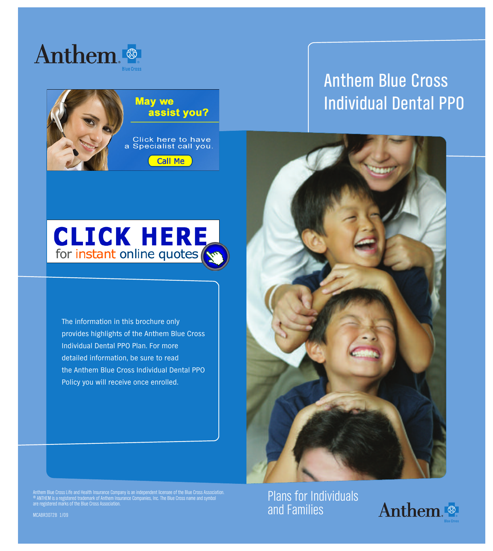



# **Anthem Blue Cross Individual Dental PPO**



**The information in this brochure only provides highlights of the Anthem Blue Cross Individual Dental PPO Plan. For more detailed information, be sure to read the Anthem Blue Cross Individual Dental PPO Policy you will receive once enrolled.**



Anthem Blue Cross Life and Health Insurance Company is an independent licensee of the Blue Cross Association.<br>© ANTHEM is a registered trademark of Anthem Insurance Companies, Inc. The Blue Cross name and symbol<br>are regist

**Plans for Individuals and Families**



**MCABR3072B 1/09**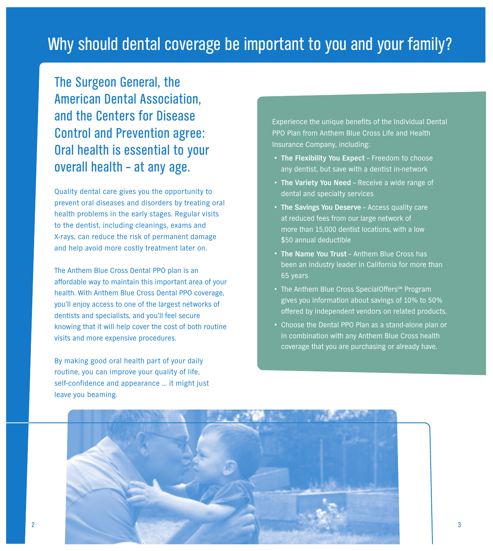**The Surgeon General, the American Dental Association, and the Centers for Disease Control and Prevention agree: Oral health is essential to your overall health – at any age.**

**Quality dental care gives you the opportunity to prevent oral diseases and disorders by treating oral health problems in the early stages. Regular visits to the dentist, including cleanings, exams and X-rays, can reduce the risk of permanent damage and help avoid more costly treatment later on.**

**The Anthem Blue Cross Dental PPO plan is an affordable way to maintain this important area of your health. With Anthem Blue Cross Dental PPO coverage, you'll enjoy access to one of the largest networks of dentists and specialists, and you'll feel secure knowing that it will help cover the cost of both routine visits and more expensive procedures.**

**By making good oral health part of your daily routine, you can improve your quality of life, self-confidence and appearance … it might just leave you beaming.**

**Experience the unique benefits of the Individual Dental PPO Plan from Anthem Blue Cross Life and Health Insurance Company, including:**

- **• The Flexibility You Expect – Freedom to choose any dentist, but save with a dentist in-network**
- **• The Variety You Need – Receive <sup>a</sup> wide range of dental and specialty services**
- **• The Savings You Deserve – Access quality care at reduced fees from our large network of more than 15,000 dentist locations, with a low \$50 annual deductible**
- **• The Name You Trust – Anthem Blue Cross has been an industry leader in California for more than 65 years**
- **•** The Anthem Blue Cross SpecialOffers<sup>SM</sup> Program **gives you information about savings of 10% to 50% offered by independent vendors on related products.**
- **• Choose the Dental PPO Plan as <sup>a</sup> stand-alone plan or in combination with any Anthem Blue Cross health coverage that you are purchasing or already have.**

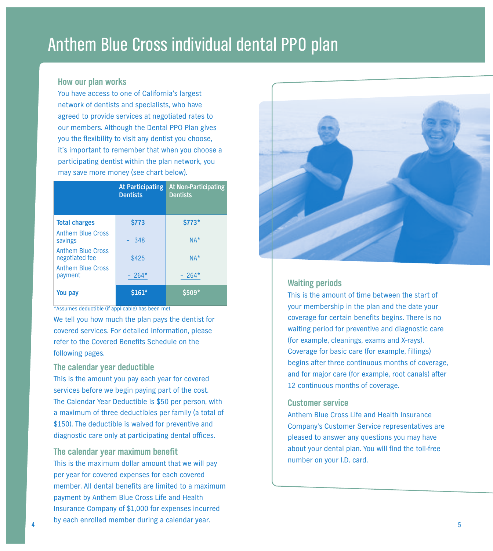# **Anthem Blue Cross individual dental PPO plan**

### **How our plan works**

**You have access to one of California's largest network of dentists and specialists, who have agreed to provide services at negotiated rates to our members. Although the Dental PPO Plan gives you the flexibility to visit any dentist you choose, it's important to remember that when you choose a participating dentist within the plan network, you may save more money (see chart below).**

|                                            | <b>At Participating</b><br><b>Dentists</b> | <b>At Non-Participating</b><br><b>Dentists</b> |
|--------------------------------------------|--------------------------------------------|------------------------------------------------|
| <b>Total charges</b>                       | \$773                                      | \$773*                                         |
| <b>Anthem Blue Cross</b><br>savings        | 348                                        | $NA*$                                          |
| <b>Anthem Blue Cross</b><br>negotiated fee | \$425                                      | $NA*$                                          |
| <b>Anthem Blue Cross</b><br>payment        | $264*$                                     | $-264*$                                        |
| You pay                                    | $$161*$                                    | \$509*                                         |

**\*Assumes deductible (if applicable) has been met.**

**We tell you how much the plan pays the dentist for covered services. For detailed information, please refer to the Covered Benefits Schedule on the following pages.**

# **The calendar year deductible**

**This is the amount you pay each year for covered services before we begin paying part of the cost. The Calendar Year Deductible is \$50 per person, with a maximum of three deductibles per family (a total of \$150). The deductible is waived for preventive and diagnostic care only at participating dental offices.**

# **The calendar year maximum benefit**

**This is the maximum dollar amount that we will pay per year for covered expenses for each covered member. All dental benefits are limited to a maximum payment by Anthem Blue Cross Life and Health Insurance Company of \$1,000 for expenses incurred by each enrolled member during <sup>a</sup> calendar year. <sup>4</sup> <sup>5</sup>**



# **Waiting periods**

**This is the amount of time between the start of your membership in the plan and the date your coverage for certain benefits begins. There is no waiting period for preventive and diagnostic care (for example, cleanings, exams and X-rays). Coverage for basic care (for example, fillings) begins after three continuous months of coverage, and for major care (for example, root canals) after 12 continuous months of coverage.**

# **Customer service**

**Anthem Blue Cross Life and Health Insurance Company's Customer Service representatives are pleased to answer any questions you may have about your dental plan. You will find the toll-free number on your I.D. card.**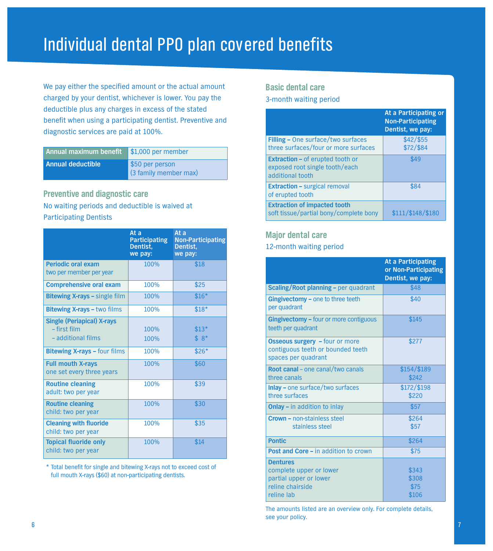# **Individual dental PPO plan covered benefits**

**We pay either the specified amount or the actual amount charged by your dentist, whichever is lower. You pay the deductible plus any charges in excess of the stated benefit when using a participating dentist. Preventive and diagnostic services are paid at 100%.**

| Annual maximum benefit | $\frac{1}{2}$ \$1,000 per member         |
|------------------------|------------------------------------------|
| Annual deductible      | \$50 per person<br>(3 family member max) |

# **Preventive and diagnostic care No waiting periods and deductible is waived at Participating Dentists**

|                                                                         | At a<br><b>Participating</b><br>Dentist.<br>we pay: | At a<br><b>Non-Participating</b><br>Dentist.<br>we pay: |
|-------------------------------------------------------------------------|-----------------------------------------------------|---------------------------------------------------------|
| <b>Periodic oral exam</b><br>two per member per year                    | 100%                                                | \$18                                                    |
| <b>Comprehensive oral exam</b>                                          | 100%                                                | \$25                                                    |
| <b>Bitewing X-rays - single film</b>                                    | 100%                                                | $$16*$                                                  |
| <b>Bitewing X-rays - two films</b>                                      | 100%                                                | $$18*$                                                  |
| <b>Single (Periapical) X-rays</b><br>- first film<br>- additional films | 100%<br>100%                                        | $$13*$<br>$$8*$                                         |
| <b>Bitewing X-rays - four films</b>                                     | 100%                                                | $$26*$                                                  |
| <b>Full mouth X-rays</b><br>one set every three years                   | 100%                                                | \$60                                                    |
| <b>Routine cleaning</b><br>adult: two per year                          | 100%                                                | \$39                                                    |
| <b>Routine cleaning</b><br>child: two per year                          | 100%                                                | \$30                                                    |
| <b>Cleaning with fluoride</b><br>child: two per year                    | 100%                                                | \$35                                                    |
| <b>Topical fluoride only</b><br>child: two per year                     | 100%                                                | \$14                                                    |

**\* Total benefit for single and bitewing X-rays not to exceed cost of full mouth X-rays (\$60) at non-participating dentists.**

# **Basic dental care**

### **3-month waiting period**

|                                                                                               | At a Participating or<br><b>Non-Participating</b><br>Dentist, we pay: |
|-----------------------------------------------------------------------------------------------|-----------------------------------------------------------------------|
| <b>Filling - One surface/two surfaces</b><br>three surfaces/four or more surfaces             | $$42/$ \$55<br>\$72/\$84                                              |
| <b>Extraction - of erupted tooth or</b><br>exposed root single tooth/each<br>additional tooth | \$49                                                                  |
| <b>Extraction - surgical removal</b><br>of erupted tooth                                      | \$84                                                                  |
| <b>Extraction of impacted tooth</b><br>soft tissue/partial bony/complete bony                 | \$111/\$148/\$180                                                     |

# **Major dental care**

# **12-month waiting period**

|                                                                                                        | At a Participating<br>or Non-Participating<br>Dentist, we pay: |
|--------------------------------------------------------------------------------------------------------|----------------------------------------------------------------|
| <b>Scaling/Root planning - per quadrant</b>                                                            | \$48                                                           |
| <b>Gingivectomy - one to three teeth</b><br>per quadrant                                               | \$40                                                           |
| <b>Gingivectomy - four or more contiguous</b><br>teeth per quadrant                                    | \$145                                                          |
| <b>Osseous surgery</b> - four or more<br>contiguous teeth or bounded teeth<br>spaces per quadrant      | \$277                                                          |
| Root canal - one canal/two canals<br>three canals                                                      | $$154$ /\$189<br>\$242                                         |
| <b>Inlay - one surface/two surfaces</b><br>three surfaces                                              | \$172/\$198<br>\$220                                           |
| <b>Onlay - in addition to inlay</b>                                                                    | \$57                                                           |
| Crown - non-stainless steel<br>stainless steel                                                         | \$264<br>\$57                                                  |
| <b>Pontic</b>                                                                                          | \$264                                                          |
| Post and Core - in addition to crown                                                                   | \$75                                                           |
| <b>Dentures</b><br>complete upper or lower<br>partial upper or lower<br>reline chairside<br>reline lab | \$343<br>\$308<br>\$75<br>\$106                                |

**The amounts listed are an overview only. For complete details, see your policy.**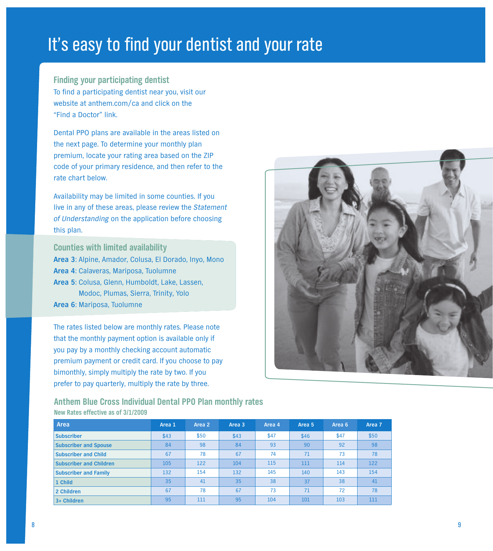# **It's easy to find your dentist and your rate**

**Finding your participating dentist To find a participating dentist near you, visit our website at anthem.com/ca and click on the "Find a Doctor" link.**

**Dental PPO plans are available in the areas listed on the next page. To determine your monthly plan premium, locate your rating area based on the ZIP code of your primary residence, and then refer to the rate chart below.**

**Availability may be limited in some counties. If you live in any of these areas, please review the** *Statement of Understanding* **on the application before choosing this plan.**

**Counties with limited availability Area 3: Alpine, Amador, Colusa, El Dorado, Inyo, Mono Area 4: Calaveras, Mariposa, Tuolumne Area 5: Colusa, Glenn, Humboldt, Lake, Lassen, Modoc, Plumas, Sierra, Trinity, Yolo Area 6: Mariposa, Tuolumne**

**The rates listed below are monthly rates. Please note that the monthly payment option is available only if you pay by a monthly checking account automatic premium payment or credit card. If you choose to pay bimonthly, simply multiply the rate by two. If you prefer to pay quarterly, multiply the rate by three.**



# **Anthem Blue Cross Individual Dental PPO Plan monthly rates New Rates effective as of 3/1/2009**

| Area                         | Area 1 | Area 2 | Area 3 | Area 4 | Area 5 | Area 6 | Area 7 |
|------------------------------|--------|--------|--------|--------|--------|--------|--------|
| <b>Subscriber</b>            | \$43   | \$50   | \$43   | \$47   | \$46   | \$47   | \$50   |
| <b>Subscriber and Spouse</b> | 84     | 98     | 84     | 93     | 90     | 92     | 98     |
| <b>Subscriber and Child</b>  | 67     | 78     | 67     | 74     | 71     | 73     | 78     |
| Subscriber and Children      | 105    | 122    | 104    | 115    | 111    | 114    | 122    |
| <b>Subscriber and Family</b> | 132    | 154    | 132    | 145    | 140    | 143    | 154    |
| 1 Child                      | 35     | 41     | 35     | 38     | 37     | 38     | 41     |
| 2 Children                   | 67     | 78     | 67     | 73     | 71     | 72     | 78     |
| $3+$ Children                | 95     | 111    | 95     | 104    | 101    | 103    | 111    |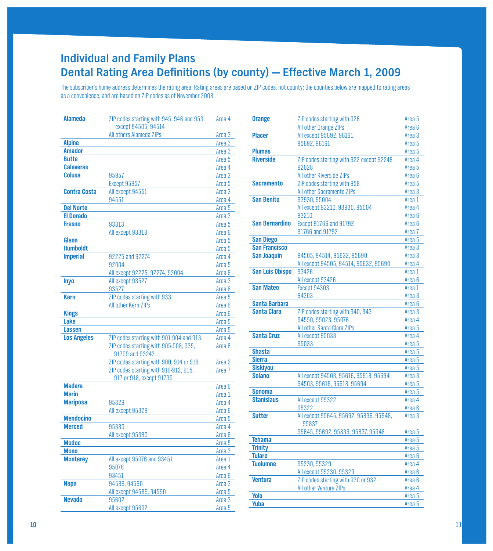# **hdividual and Family Plans Dental Rating Area Definitions (by county) - Effective March 1, 2009**

The subscriber's home address determines the rating area. Rating areas are based on ZIP codes, not county; the counties below are mapped to rating areas as a convenience, and are based on ZIP codes as of November 2008.

| Alameda             | ZIP codes starting with 945, 946 and 953,                                        | Area 4                      |
|---------------------|----------------------------------------------------------------------------------|-----------------------------|
|                     | except 94505, 94514                                                              |                             |
|                     | All others Alameda ZIPs                                                          | Area 3                      |
| <b>Alpine</b>       |                                                                                  | Area <sub>3</sub>           |
| <b>Amador</b>       |                                                                                  | Area <sub>3</sub>           |
| <b>Butte</b>        |                                                                                  | Area <sub>5</sub>           |
| <b>Calaveras</b>    |                                                                                  | Area 4                      |
| Colusa              | 95957                                                                            | Area <sub>3</sub>           |
|                     | Except 95957                                                                     | Area 5                      |
| <b>Contra Costa</b> | All except 94551                                                                 | Area <sub>3</sub>           |
|                     | 94551                                                                            | Area 4                      |
| <b>Del Norte</b>    |                                                                                  | Area <sub>5</sub>           |
| <b>El Dorado</b>    |                                                                                  | Area <sub>3</sub>           |
| <b>Fresno</b>       | 93313                                                                            | Area <sub>5</sub>           |
|                     | All except 93313                                                                 | Area <sub>6</sub>           |
| Glenn               |                                                                                  | Area 5                      |
| <b>Humboldt</b>     |                                                                                  | Area 5                      |
| <b>Imperial</b>     | 92225 and 92274                                                                  | Area 4                      |
|                     | 92004                                                                            | Area 5                      |
|                     | All except 92225, 92274, 92004                                                   | Area <sub>6</sub>           |
| <b>Inyo</b>         | All except 93527                                                                 | Area <sub>3</sub>           |
|                     | 93527                                                                            | Area <sub>6</sub>           |
| <b>Kern</b>         | ZIP codes starting with 933                                                      | Area 5                      |
|                     | All other Kern ZIPs                                                              | Area <sub>6</sub>           |
| <b>Kings</b>        |                                                                                  | Area <sub>6</sub>           |
| Lake                |                                                                                  | Area <sub>5</sub>           |
| <b>Lassen</b>       |                                                                                  | Area <sub>5</sub>           |
| <b>Los Angeles</b>  | ZIP codes starting with 901-904 and 913                                          | Area 4                      |
|                     | ZIP codes starting with 905-908, 935,                                            | Area 6                      |
|                     | 91709 and 93243                                                                  |                             |
|                     | ZIP codes starting with 900, 914 or 916<br>ZIP codes starting with 910-912, 915, | Area 2<br>Area <sub>7</sub> |
|                     | 917 or 918, except 91709                                                         |                             |
| <b>Madera</b>       |                                                                                  | Area <sub>6</sub>           |
| <b>Marin</b>        |                                                                                  | Area 1                      |
| <b>Mariposa</b>     | 95329                                                                            | Area 4                      |
|                     | All except 95329                                                                 | Area <sub>6</sub>           |
| <b>Mendocino</b>    |                                                                                  | Area 5                      |
| <b>Merced</b>       | 95380                                                                            | Area 4                      |
|                     | All except 95380                                                                 | Area <sub>6</sub>           |
| <b>Modoc</b>        |                                                                                  | Area 5                      |
| <b>Mono</b>         |                                                                                  | Area <sub>3</sub>           |
| <b>Monterey</b>     | All except 95076 and 93451                                                       | Area 1                      |
|                     | 95076                                                                            | Area 4                      |
|                     | 93451                                                                            | Area <sub>6</sub>           |
| <b>Napa</b>         | 94589, 94590                                                                     | Area 3                      |
|                     | All except 94589, 94590                                                          | Area 5                      |
| <b>Nevada</b>       | 95602                                                                            | Area 3                      |
|                     | All except 95602                                                                 | Area <sub>5</sub>           |
|                     |                                                                                  |                             |

| Orange                 | ZIP codes starting with 926              | Area 5            |
|------------------------|------------------------------------------|-------------------|
|                        | All other Orange ZIPs                    | Area <sub>6</sub> |
| <b>Placer</b>          | All except 95692, 96161                  | Area <sub>3</sub> |
|                        | 95692, 96161                             | Area <sub>5</sub> |
| <b>Plumas</b>          |                                          | Area 5            |
| <b>Riverside</b>       | ZIP codes starting with 922 except 92248 | Area 4            |
|                        | 92028                                    | Area 5            |
|                        | All other Riverside ZIPs                 | Area <sub>6</sub> |
| <b>Sacramento</b>      | ZIP codes starting with 958              | Area 5            |
|                        | All other Sacramento ZIPs                | Area 3            |
| <b>San Benito</b>      | 93930.95004                              | Area 1            |
|                        | All except 93210, 93930, 95004           | Area 4            |
|                        | 93210                                    | Area 6            |
| <b>San Bernardino</b>  | Except 91766 and 91792                   | Area <sub>6</sub> |
|                        | 91766 and 91792                          | Area <sub>7</sub> |
| <b>San Diego</b>       |                                          | Area 5            |
| <b>San Francisco</b>   |                                          | Area 3            |
| <b>San Joaquin</b>     | 94505, 94514, 95632, 95690               | Area 3            |
|                        | All except 94505, 94514, 95632, 95690    | Area 4            |
| <b>San Luis Obispo</b> | 93426                                    | Area 1            |
|                        | All except 93426                         | Area <sub>6</sub> |
| <b>San Mateo</b>       | Except 94303                             | Area 1            |
|                        | 94303                                    | Area 3            |
| <b>Santa Barbara</b>   |                                          | Area 6            |
| <b>Santa Clara</b>     | ZIP codes starting with 940, 943         | Area 3            |
|                        | 94550, 95023, 95076                      | Area 4            |
|                        | All other Santa Clara ZIPs               | Area 5            |
| <b>Santa Cruz</b>      | All except 95033                         | Area 4            |
|                        | 95033                                    | Area 5            |
| <b>Shasta</b>          |                                          | Area 5            |
| <b>Sierra</b>          |                                          | Area 5            |
| <b>Siskiyou</b>        |                                          | Area <sub>5</sub> |
| <b>Solano</b>          | All except 94503, 95616, 95618, 95694    | Area 3            |
|                        | 94503, 95616, 95618, 95694               | Area 5            |
| <b>Sonoma</b>          |                                          | Area 5            |
| <b>Stanislaus</b>      | All except 95322                         | Area 4            |
|                        | 95322                                    | Area <sub>6</sub> |
| <b>Sutter</b>          | All except 95645, 95692, 95836, 95948,   | Area <sub>3</sub> |
|                        | 95837                                    |                   |
|                        | 95645, 95692, 95836, 95837, 95948        | Area 5            |
| <b>Tehama</b>          |                                          | Area 5            |
| <b>Trinity</b>         |                                          | Area 5            |
| <b>Tulare</b>          |                                          | Area 6            |
| <b>Tuolumne</b>        | 95230, 95329                             | Area 4            |
|                        | All except 95230, 95329                  | Area <sub>6</sub> |
| <b>Ventura</b>         | ZIP codes starting with 930 or 932       | Area 6            |
|                        | All other Ventura ZIPs                   |                   |
| Yolo                   |                                          | Area 4            |
|                        |                                          | Area <sub>5</sub> |
| Yuba                   |                                          | Area <sub>5</sub> |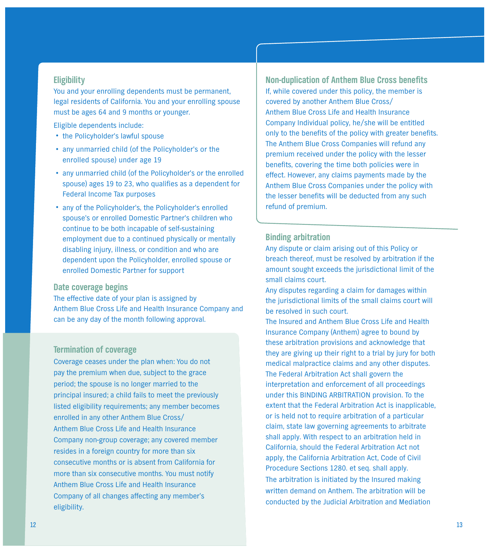# **Eligibility**

**You and your enrolling dependents must be permanent, legal residents of California. You and your enrolling spouse must be ages 64 and 9 months or younger.**

**Eligible dependents include:**

- **•the Policyholder's lawful spouse**
- **• any unmarried child (of the Policyholder's or the enrolled spouse) under age 19**
- **• any unmarried child (of the Policyholder's or the enrolled spouse) ages 19 to 23, who qualifies as a dependent for Federal Income Tax purposes**
- **• any of the Policyholder's, the Policyholder's enrolled spouse's or enrolled Domestic Partner's children who continue to be both incapable of self-sustaining employment due to a continued physically or mentally disabling injury, illness, or condition and who are dependent upon the Policyholder, enrolled spouse or enrolled Domestic Partner for support**

### **Date coverage begins**

**The effective date of your plan is assigned by Anthem Blue Cross Life and Health Insurance Company and can be any day of the month following approval.**

# **Termination of coverage**

**Coverage ceases under the plan when: You do not pay the premium when due, subject to the grace period; the spouse is no longer married to the principal insured; a child fails to meet the previously listed eligibility requirements; any member becomes enrolled in any other Anthem Blue Cross/ Anthem Blue Cross Life and Health Insurance Company non-group coverage; any covered member resides in a foreign country for more than six consecutive months or is absent from California for more than six consecutive months. You must notify Anthem Blue Cross Life and Health Insurance Company of all changes affecting any member's eligibility.**

**Non-duplication of Anthem Blue Cross benefits If, while covered under this policy, the member is covered by another Anthem Blue Cross/ Anthem Blue Cross Life and Health Insurance Company Individual policy, he/she will be entitled only to the benefits of the policy with greater benefits. The Anthem Blue Cross Companies will refund any premium received under the policy with the lesser benefits, covering the time both policies were in effect. However, any claims payments made by the Anthem Blue Cross Companies under the policy with the lesser benefits will be deducted from any such refund of premium.**

### **Binding arbitration**

**Any dispute or claim arising out of this Policy or breach thereof, must be resolved by arbitration if the amount sought exceeds the jurisdictional limit of the small claims court.**

**Any disputes regarding a claim for damages within the jurisdictional limits of the small claims court will be resolved in such court.**

**The Insured and Anthem Blue Cross Life and Health Insurance Company (Anthem) agree to bound by these arbitration provisions and acknowledge that they are giving up their right to a trial by jury for both medical malpractice claims and any other disputes. The Federal Arbitration Act shall govern the interpretation and enforcement of all proceedings under this BINDING ARBITRATION provision. To the extent that the Federal Arbitration Act is inapplicable, or is held not to require arbitration of a particular claim, state law governing agreements to arbitrate shall apply. With respect to an arbitration held in California, should the Federal Arbitration Act not apply, the California Arbitration Act, Code of Civil Procedure Sections 1280. et seq. shall apply. The arbitration is initiated by the Insured making written demand on Anthem. The arbitration will be conducted by the Judicial Arbitration and Mediation**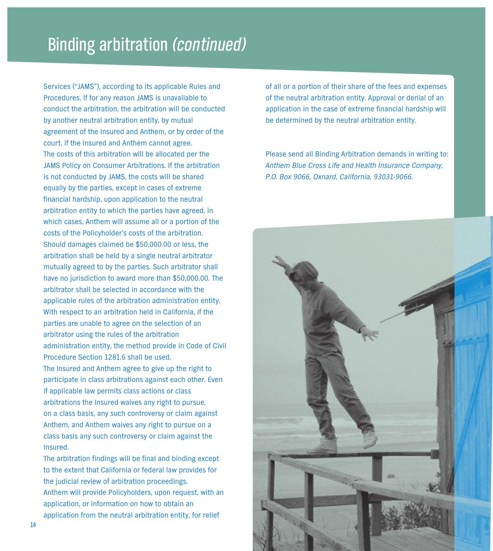# **Binding arbitration** *(continued)*

**Services ("JAMS"), according to its applicable Rules and Procedures. If for any reason JAMS is unavailable to conduct the arbitration, the arbitration will be conducted by another neutral arbitration entity, by mutual agreement of the Insured and Anthem, or by order of the court, if the Insured and Anthem cannot agree. The costs of this arbitration will be allocated per the JAMS Policy on Consumer Arbitrations. If the arbitration is not conducted by JAMS, the costs will be shared equally by the parties, except in cases of extreme financial hardship, upon application to the neutral arbitration entity to which the parties have agreed, in which cases, Anthem will assume all or a portion of the costs of the Policyholder's costs of the arbitration. Should damages claimed be \$50,000.00 or less, the arbitration shall be held by a single neutral arbitrator mutually agreed to by the parties. Such arbitrator shall have no jurisdiction to award more than \$50,000.00. The arbitrator shall be selected in accordance with the applicable rules of the arbitration administration entity. With respect to an arbitration held in California, if the parties are unable to agree on the selection of an arbitrator using the rules of the arbitration administration entity, the method provide in Code of Civil Procedure Section 1281.6 shall be used. The Insured and Anthem agree to give up the right to participate in class arbitrations against each other. Even if applicable law permits class actions or class arbitrations the Insured waives any right to pursue, on a class basis, any such controversy or claim against Anthem, and Anthem waives any right to pursue on a class basis any such controversy or claim against the Insured.**

**The arbitration findings will be final and binding except to the extent that California or federal law provides for the judicial review of arbitration proceedings. Anthem will provide Policyholders, upon request, with an application, or information on how to obtain an application from the neutral arbitration entity, for relief**

**of all or a portion of their share of the fees and expenses of the neutral arbitration entity. Approval or denial of an application in the case of extreme financial hardship will be determined by the neutral arbitration entity.**

**Please send all Binding Arbitration demands in writing to:** *Anthem Blue Cross Life and Health Insurance Company, P.O. Box 9066, Oxnard, California, 93031-9066.*

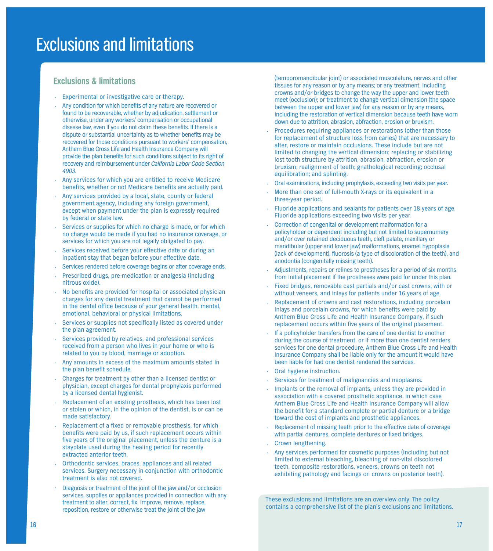# **Exclusions & limitations**

- **• Experimental or investigative care or therapy.**
- **• Any condition for which benefits of any nature are recovered or found to be recoverable, whether by adjudication, settlement or otherwise, under any workers' compensation or occupational disease law, even if you do not claim these benefits. If there is a dispute or substantial uncertainty as to whether benefits may be recovered for those conditions pursuant to workers' compensation, Anthem Blue Cross Life and Health Insurance Company will provide the plan benefits for such conditions subject to its right of recovery and reimbursement under** *California Labor Code Section 4903***.**
- **• Any services for which you are entitled to receive Medicare benefits, whether or not Medicare benefits are actually paid.**
- **• Any services provided by a local, state, county or federal government agency, including any foreign government, except when payment under the plan is expressly required by federal or state law.**
- **• Services or supplies for which no charge is made, or for which no charge would be made if you had no insurance coverage, or services for which you are not legally obligated to pay.**
- **• Services received before your effective date or during an inpatient stay that began before your effective date.**
- **• Services rendered before coverage begins or after coverage ends.**
- **• Prescribed drugs, pre-medication or analgesia (including nitrous oxide).**
- **• No benefits are provided for hospital or associated physician charges for any dental treatment that cannot be performed in the dental office because of your general health, mental, emotional, behavioral or physical limitations.**
- **• Services or supplies not specifically listed as covered under the plan agreement.**
- **• Services provided by relatives, and professional services received from a person who lives in your home or who is related to you by blood, marriage or adoption.**
- **• Any amounts in excess of the maximum amounts stated in the plan benefit schedule.**
- **• Charges for treatment by other than a licensed dentist or physician, except charges for dental prophylaxis performed by a licensed dental hygienist.**
- **• Replacement of an existing prosthesis, which has been lost or stolen or which, in the opinion of the dentist, is or can be made satisfactory.**
- **• Replacement of a fixed or removable prosthesis, for which benefits were paid by us, if such replacement occurs within five years of the original placement, unless the denture is a stayplate used during the healing period for recently extracted anterior teeth.**
- **• Orthodontic services, braces, appliances and all related services. Surgery necessary in conjunction with orthodontic treatment is also not covered.**
- **• Diagnosis or treatment of the joint of the jaw and/or occlusion services, supplies or appliances provided in connection with any treatment to alter, correct, fix, improve, remove, replace, reposition, restore or otherwise treat the joint of the jaw**

**(temporomandibular joint) or associated musculature, nerves and other tissues for any reason or by any means; or any treatment, including crowns and/or bridges to change the way the upper and lower teeth meet (occlusion); or treatment to change vertical dimension (the space between the upper and lower jaw) for any reason or by any means, including the restoration of vertical dimension because teeth have worn down due to attrition, abrasion, abfraction, erosion or bruxism.**

- **• Procedures requiring appliances or restorations (other than those for replacement of structure loss from caries) that are necessary to alter, restore or maintain occlusions. These include but are not limited to changing the vertical dimension; replacing or stabilizing lost tooth structure by attrition, abrasion, abfraction, erosion or bruxism; realignment of teeth; gnathological recording; occlusal equilibration; and splinting.**
- **• Oral examinations, including prophylaxis, exceeding two visits per year.**
- **• More than one set of full-mouth X-rays or its equivalent in a three-year period.**
- **• Fluoride applications and sealants for patients over 18 years of age. Fluoride applications exceeding two visits per year.**
- **• Correction of congenital or development malformation for a policyholder or dependent including but not limited to supernumery and/or over retained deciduous teeth, cleft palate, maxillary or mandibular (upper and lower jaw) malformations, enamel hypoplasia (lack of development), fluorosis (a type of discoloration of the teeth), and anodontia (congenitally missing teeth).**
- **• Adjustments, repairs or relines to prostheses for a period of six months from initial placement if the prostheses were paid for under this plan.**
- **• Fixed bridges, removable cast partials and/or cast crowns, with or without veneers, and inlays for patients under 16 years of age.**
- **• Replacement of crowns and cast restorations, including porcelain inlays and porcelain crowns, for which benefits were paid by Anthem Blue Cross Life and Health Insurance Company, if such replacement occurs within five years of the original placement.**
- **• If a policyholder transfers from the care of one dentist to another during the course of treatment, or if more than one dentist renders services for one dental procedure, Anthem Blue Cross Life and Health Insurance Company shall be liable only for the amount it would have been liable for had one dentist rendered the services.**
- **• Oral hygiene instruction.**
- **• Services for treatment of malignancies and neoplasms.**
- **• Implants or the removal of implants, unless they are provided in association with a covered prosthetic appliance, in which case Anthem Blue Cross Life and Health Insurance Company will allow the benefit for a standard complete or partial denture or a bridge toward the cost of implants and prosthetic appliances.**
- **• Replacement of missing teeth prior to the effective date of coverage with partial dentures, complete dentures or fixed bridges.**
- **• Crown lengthening.**
- **• Any services performed for cosmetic purposes (including but not limited to external bleaching, bleaching of non-vital discolored teeth, composite restorations, veneers, crowns on teeth not exhibiting pathology and facings on crowns on posterior teeth).**

**These exclusions and limitations are an overview only. The policy contains a comprehensive list of the plan's exclusions and limitations.**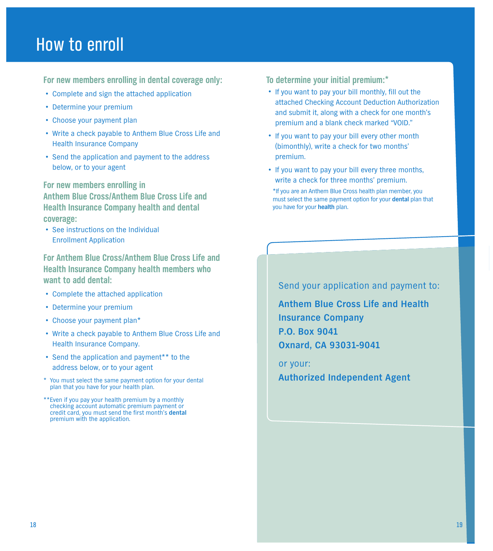# **How to enroll**

**For new members enrolling in dental coverage only:**

- **• Complete and sign the attached application**
- **• Determine your premium**
- **• Choose your payment plan**
- **• Write <sup>a</sup> check payable to Anthem Blue Cross Life and Health Insurance Company**
- **• Send the application and payment to the address below, or to your agent**

**For new members enrolling in Anthem Blue Cross/Anthem Blue Cross Life and Health Insurance Company health and dental coverage:**

**• See instructions on the Individual Enrollment Application**

**For Anthem Blue Cross/Anthem Blue Cross Life and Health Insurance Company health members who want to add dental:**

- **• Complete the attached application**
- **• Determine your premium**
- **• Choose your payment plan\***
- **• Write <sup>a</sup> check payable to Anthem Blue Cross Life and Health Insurance Company.**
- **• Send the application and payment\*\* to the address below, or to your agent**
- **\* You must select the same payment option for your dental plan that you have for your health plan.**
- **\*\*Even if you pay your health premium by a monthly checking account automatic premium payment or credit card, you must send the first month's dental premium with the application.**

**To determine your initial premium:\***

- **•If you want to pay your bill monthly, fill out the attached Checking Account Deduction Authorization and submit it, along with a check for one month's premium and a blank check marked "VOID."**
- **•If you want to pay your bill every other month (bimonthly), write a check for two months' premium.**
- **•If you want to pay your bill every three months, write a check for three months' premium.**

**\*If you are an Anthem Blue Cross health plan member, you must select the same payment option for your dental plan that you have for your health plan.**

**Send your application and payment to:**

**Anthem Blue Cross Life and Health Insurance Company P.O. Box 9041 Oxnard, CA 93031-9041**

**or your: Authorized Independent Agent**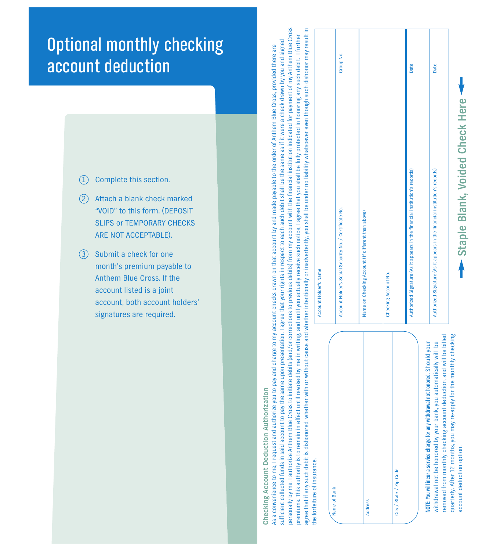#### **Optional monthly checking i l l i** account deduction **i**

- **1 complete this section.**
- **2** Attach a blank check marked "VOID" to this form. (DEPOSIT SLIPS or TEMPORARY CHECKS **A R E N O T A C C E P TA B L E ) .**
- **3** Submit a check for one month's premium payable to Anthem Blue Cross. If the account listed is a joint account, both account holders' signatures are required.

Checking Account Deduction Authorization **Checking Account Deduction Authorization**

personally by me. I authorize Anthem Blue Cross to initiate debits (and/or corrections to previous debits) from my account with the financial institution indicated for payment of my Anthem Blue Cross agree that if any such debit is dishonored, whether with or without cause and whether intentionally or inadvertently, you shall be under no liability whatsoever even though such dishonor may result in personally by me. I authorize Anthem Blue Cross to initiate debits (and/or corrections to previous debits) from my account with the financial institution indicated for payment of my Anthem Blue Cross agree that if any such debit is dishonored, whether with or without cause and whether intentionally or inadvertently, you shall be under no liability whatsoever even though such dishonor may result in premiums. This authority is to remain in effect until revoked by me in writing, and until you actually receive such notice, I agree that you shall be fully protected in honoring any such debit. I further premiums. This authority is to remain in effect until revoked by me in writing, and until you actually receive such notice, I agree that you shall be fully protected in honoring any such debit. I further sufficient collected funds in said account to pay the same upon presentation. I agree that your rights in respect to each such debit shall be the same as if it were a check drawn by you and signed sufficient collected funds in said account to pay the same upon presentation. I agree that your rights in respect to each such debit shall be the same as if it were a check drawn by you and signed As a convenience to me, I request and authorize you to pay and charge to my account checks drawn on that account by and made payable to the order of Anthem Blue Cross, provided there are As a convenience to me, I request and authorize you to pay and charge to my account checks drawn on that account by and made payable to the order of Anthem Blue Cross, provided there are **the forfeiture of insurance.** the forfeiture of insurance

| Account Holder's Social Security No. / Certificate No.<br>Name on Checking Account (If different than above)<br>Checking Account No.<br>City / State / Zip Code<br>Name of Bank<br>Address                              |                                 |           |  |
|-------------------------------------------------------------------------------------------------------------------------------------------------------------------------------------------------------------------------|---------------------------------|-----------|--|
|                                                                                                                                                                                                                         |                                 |           |  |
|                                                                                                                                                                                                                         |                                 | Group No. |  |
|                                                                                                                                                                                                                         |                                 |           |  |
|                                                                                                                                                                                                                         |                                 |           |  |
|                                                                                                                                                                                                                         |                                 |           |  |
| Authorized Signature (As it appears in the financial institution's records)                                                                                                                                             | Date                            |           |  |
| NOTE: You will incur a service charge for any withdrawal not honored. Should your                                                                                                                                       |                                 |           |  |
| Authorized Signature (As it appears in the financial institution's records)<br>removed from monthly checking account deduction, and will be billed<br>withdrawal not be honored by your bank, you automatically will be | Date                            |           |  |
| quarterly. After 12 months, you may re-apply for the monthly checking<br>account deduction option.                                                                                                                      | Staple Blank, Voided Check Here |           |  |